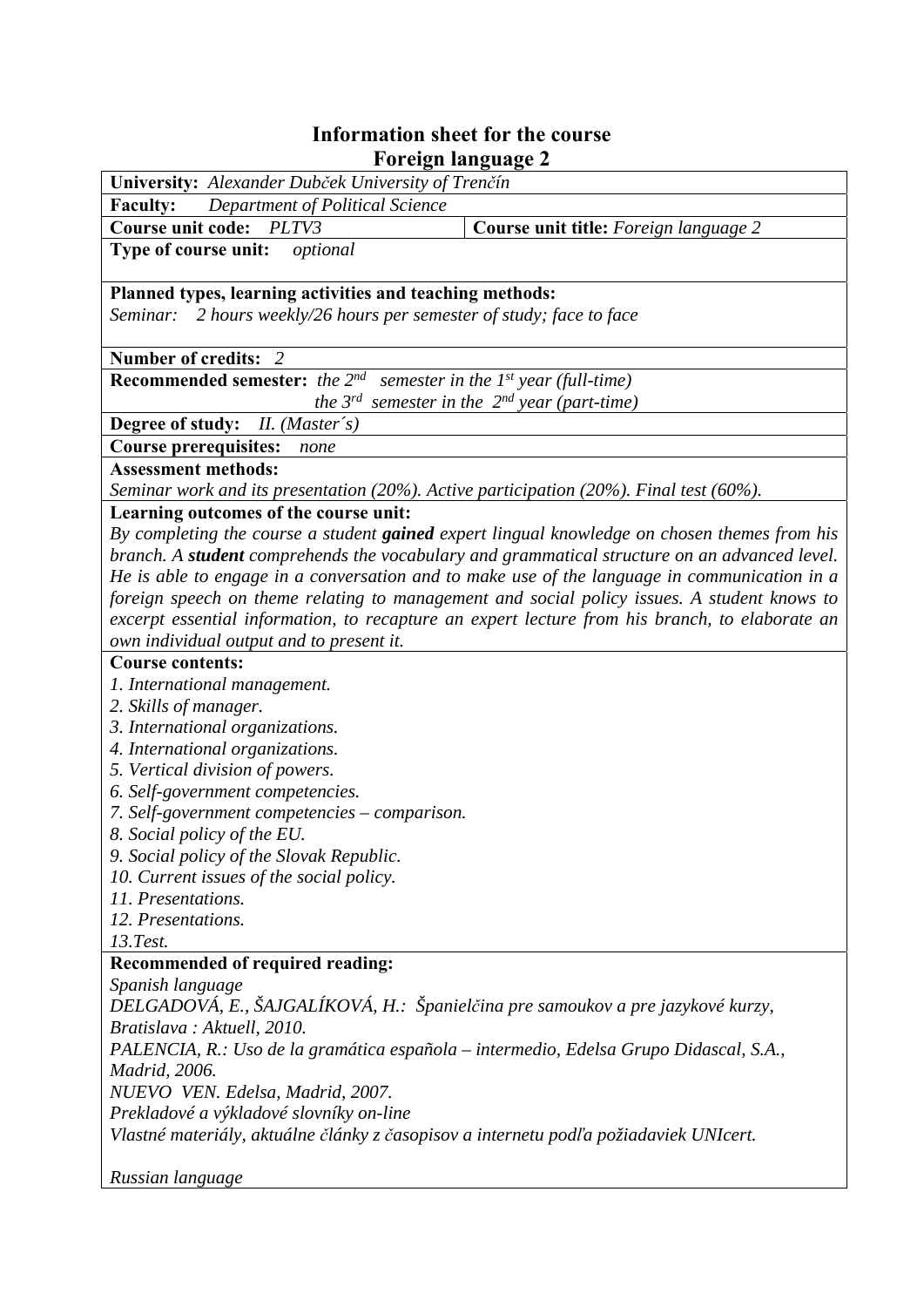## **Information sheet for the course Foreign language 2**

| University: Alexander Dubček University of Trenčín                                                 |                                                                                                |
|----------------------------------------------------------------------------------------------------|------------------------------------------------------------------------------------------------|
| Department of Political Science<br><b>Faculty:</b>                                                 |                                                                                                |
| <b>Course unit code:</b><br>PLTV3                                                                  | Course unit title: Foreign language 2                                                          |
| Type of course unit:<br>optional                                                                   |                                                                                                |
| Planned types, learning activities and teaching methods:                                           |                                                                                                |
| 2 hours weekly/26 hours per semester of study; face to face<br>Seminar:                            |                                                                                                |
| Number of credits: 2                                                                               |                                                                                                |
| <b>Recommended semester:</b> the $2^{nd}$ semester in the 1 <sup>st</sup> year (full-time)         |                                                                                                |
|                                                                                                    | the $3^{rd}$ semester in the $2^{nd}$ year (part-time)                                         |
| <b>Degree of study:</b> <i>II. (Master's)</i>                                                      |                                                                                                |
| <b>Course prerequisites:</b><br>none                                                               |                                                                                                |
| <b>Assessment methods:</b>                                                                         |                                                                                                |
| Seminar work and its presentation (20%). Active participation (20%). Final test (60%).             |                                                                                                |
| Learning outcomes of the course unit:                                                              |                                                                                                |
|                                                                                                    | By completing the course a student gained expert lingual knowledge on chosen themes from his   |
|                                                                                                    | branch. A student comprehends the vocabulary and grammatical structure on an advanced level.   |
|                                                                                                    | He is able to engage in a conversation and to make use of the language in communication in a   |
|                                                                                                    | foreign speech on theme relating to management and social policy issues. A student knows to    |
|                                                                                                    | excerpt essential information, to recapture an expert lecture from his branch, to elaborate an |
| own individual output and to present it.                                                           |                                                                                                |
| <b>Course contents:</b>                                                                            |                                                                                                |
| 1. International management.                                                                       |                                                                                                |
| 2. Skills of manager.                                                                              |                                                                                                |
| 3. International organizations.                                                                    |                                                                                                |
| 4. International organizations.                                                                    |                                                                                                |
| 5. Vertical division of powers.                                                                    |                                                                                                |
| 6. Self-government competencies.                                                                   |                                                                                                |
| 7. Self-government competencies – comparison.                                                      |                                                                                                |
| 8. Social policy of the EU.                                                                        |                                                                                                |
| 9. Social policy of the Slovak Republic.                                                           |                                                                                                |
| 10. Current issues of the social policy.                                                           |                                                                                                |
| 11. Presentations.                                                                                 |                                                                                                |
| 12. Presentations.                                                                                 |                                                                                                |
| 13.Test.                                                                                           |                                                                                                |
| Recommended of required reading:                                                                   |                                                                                                |
| Spanish language<br>DELGADOVÁ, E., ŠAJGALÍKOVÁ, H.: Španielčina pre samoukov a pre jazykové kurzy, |                                                                                                |
| Bratislava: Aktuell, 2010.                                                                         |                                                                                                |
| PALENCIA, R.: Uso de la gramática española – intermedio, Edelsa Grupo Didascal, S.A.,              |                                                                                                |
| <i>Madrid, 2006.</i>                                                                               |                                                                                                |
| NUEVO VEN. Edelsa, Madrid, 2007.                                                                   |                                                                                                |
| Prekladové a výkladové slovníky on-line                                                            |                                                                                                |
| Vlastné materiály, aktuálne články z časopisov a internetu podľa požiadaviek UNIcert.              |                                                                                                |
| Russian language                                                                                   |                                                                                                |